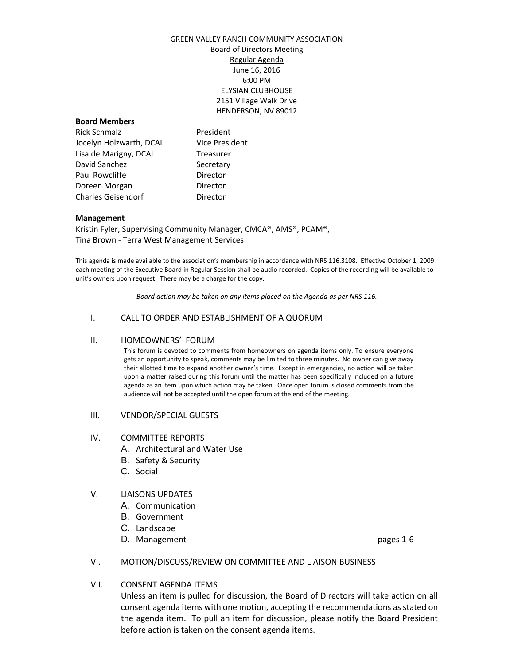## GREEN VALLEY RANCH COMMUNITY ASSOCIATION Board of Directors Meeting Regular Agenda June 16, 2016 6:00 PM ELYSIAN CLUBHOUSE 2151 Village Walk Drive HENDERSON, NV 89012

#### **Board Members**

Rick Schmalz **President** Jocelyn Holzwarth, DCAL Vice President Lisa de Marigny, DCAL Treasurer David Sanchez Secretary Paul Rowcliffe **Director** Doreen Morgan **Director** Charles Geisendorf **Director** 

### **Management**

Kristin Fyler, Supervising Community Manager, CMCA®, AMS®, PCAM®, Tina Brown - Terra West Management Services

This agenda is made available to the association's membership in accordance with NRS 116.3108. Effective October 1, 2009 each meeting of the Executive Board in Regular Session shall be audio recorded. Copies of the recording will be available to unit's owners upon request. There may be a charge for the copy.

*Board action may be taken on any items placed on the Agenda as per NRS 116.*

### I. CALL TO ORDER AND ESTABLISHMENT OF A QUORUM

### II. HOMEOWNERS' FORUM

This forum is devoted to comments from homeowners on agenda items only. To ensure everyone gets an opportunity to speak, comments may be limited to three minutes. No owner can give away their allotted time to expand another owner's time. Except in emergencies, no action will be taken upon a matter raised during this forum until the matter has been specifically included on a future agenda as an item upon which action may be taken. Once open forum is closed comments from the audience will not be accepted until the open forum at the end of the meeting.

#### III. VENDOR/SPECIAL GUESTS

### IV. COMMITTEE REPORTS

- A. Architectural and Water Use
- B. Safety & Security
- C. Social

### V. LIAISONS UPDATES

- A. Communication
- B. Government
- C. Landscape
- D. Management **pages** 1-6

### VI. MOTION/DISCUSS/REVIEW ON COMMITTEE AND LIAISON BUSINESS

### VII. CONSENT AGENDA ITEMS

Unless an item is pulled for discussion, the Board of Directors will take action on all consent agenda items with one motion, accepting the recommendations as stated on the agenda item. To pull an item for discussion, please notify the Board President before action is taken on the consent agenda items.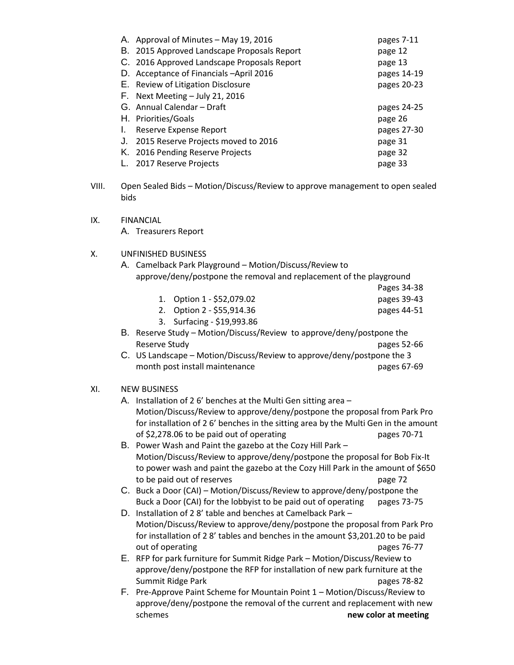| A. Approval of Minutes - May 19, 2016       | pages 7-11  |
|---------------------------------------------|-------------|
| B. 2015 Approved Landscape Proposals Report | page 12     |
| C. 2016 Approved Landscape Proposals Report | page 13     |
| D. Acceptance of Financials - April 2016    | pages 14-19 |
| E. Review of Litigation Disclosure          | pages 20-23 |
| $F.$ Next Meeting $-$ July 21, 2016         |             |
| G. Annual Calendar – Draft                  | pages 24-25 |
| H. Priorities/Goals                         | page 26     |
|                                             |             |
| Reserve Expense Report                      | pages 27-30 |
| 2015 Reserve Projects moved to 2016         | page 31     |
| K. 2016 Pending Reserve Projects            | page 32     |
| 2017 Reserve Projects                       | page 33     |

- VIII. Open Sealed Bids Motion/Discuss/Review to approve management to open sealed bids
- IX. FINANCIAL A. Treasurers Report

# X. UNFINISHED BUSINESS

| A. Camelback Park Playground – Motion/Discuss/Review to             |
|---------------------------------------------------------------------|
| approve/deny/postpone the removal and replacement of the playground |

- Pages 34-38 1. Option 1 - \$52,079.02 pages 39-43
- 2. Option 2 \$55,914.36 pages 44-51
- 3. Surfacing \$19,993.86
- B. Reserve Study Motion/Discuss/Review to approve/deny/postpone the Reserve Study **pages** 52-66
- C. US Landscape Motion/Discuss/Review to approve/deny/postpone the 3 month post install maintenance pages 67-69

# XI. NEW BUSINESS

- A. Installation of 2 6' benches at the Multi Gen sitting area Motion/Discuss/Review to approve/deny/postpone the proposal from Park Pro for installation of 2 6' benches in the sitting area by the Multi Gen in the amount of \$2,278.06 to be paid out of operating pages 70-71
- B. Power Wash and Paint the gazebo at the Cozy Hill Park Motion/Discuss/Review to approve/deny/postpone the proposal for Bob Fix-It to power wash and paint the gazebo at the Cozy Hill Park in the amount of \$650 to be paid out of reserves page 72
- C. Buck a Door (CAI) Motion/Discuss/Review to approve/deny/postpone the Buck a Door (CAI) for the lobbyist to be paid out of operating pages 73-75
- D. Installation of 2 8' table and benches at Camelback Park Motion/Discuss/Review to approve/deny/postpone the proposal from Park Pro for installation of 2 8' tables and benches in the amount \$3,201.20 to be paid out of operating pages 76-77
- E. RFP for park furniture for Summit Ridge Park Motion/Discuss/Review to approve/deny/postpone the RFP for installation of new park furniture at the Summit Ridge Park pages 78-82
- F. Pre-Approve Paint Scheme for Mountain Point 1 Motion/Discuss/Review to approve/deny/postpone the removal of the current and replacement with new **new color at meeting new color at meeting**